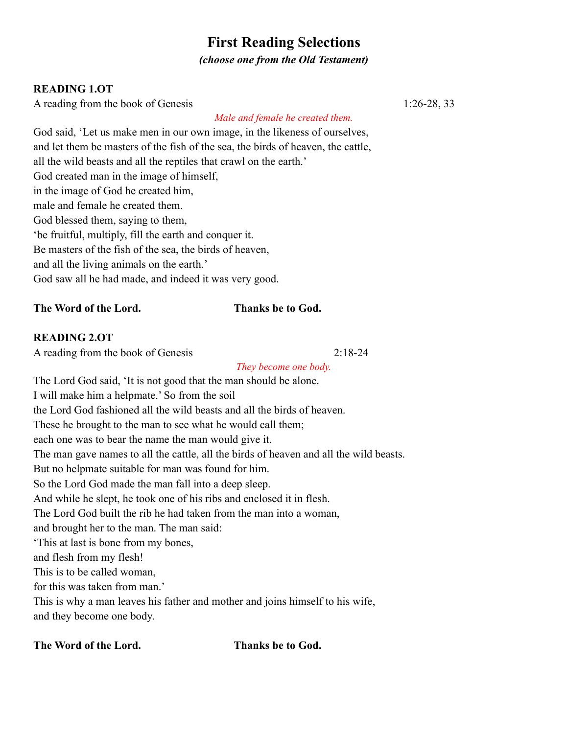# **First Reading Selections**

*(choose one from the Old Testament)*

# **READING 1.OT**

A reading from the book of Genesis 1:26-28, 33

*Male and female he created them.*

God said, 'Let us make men in our own image, in the likeness of ourselves, and let them be masters of the fish of the sea, the birds of heaven, the cattle, all the wild beasts and all the reptiles that crawl on the earth.' God created man in the image of himself, in the image of God he created him, male and female he created them. God blessed them, saying to them, 'be fruitful, multiply, fill the earth and conquer it. Be masters of the fish of the sea, the birds of heaven, and all the living animals on the earth.' God saw all he had made, and indeed it was very good.

**The Word of the Lord. Thanks be to God.**

# **READING 2.OT**

A reading from the book of Genesis 2:18-24

*They become one body.*

The Lord God said, 'It is not good that the man should be alone. I will make him a helpmate.' So from the soil the Lord God fashioned all the wild beasts and all the birds of heaven. These he brought to the man to see what he would call them; each one was to bear the name the man would give it. The man gave names to all the cattle, all the birds of heaven and all the wild beasts. But no helpmate suitable for man was found for him. So the Lord God made the man fall into a deep sleep. And while he slept, he took one of his ribs and enclosed it in flesh. The Lord God built the rib he had taken from the man into a woman, and brought her to the man. The man said: 'This at last is bone from my bones, and flesh from my flesh! This is to be called woman, for this was taken from man.' This is why a man leaves his father and mother and joins himself to his wife, and they become one body.

**The Word of the Lord. Thanks be to God.**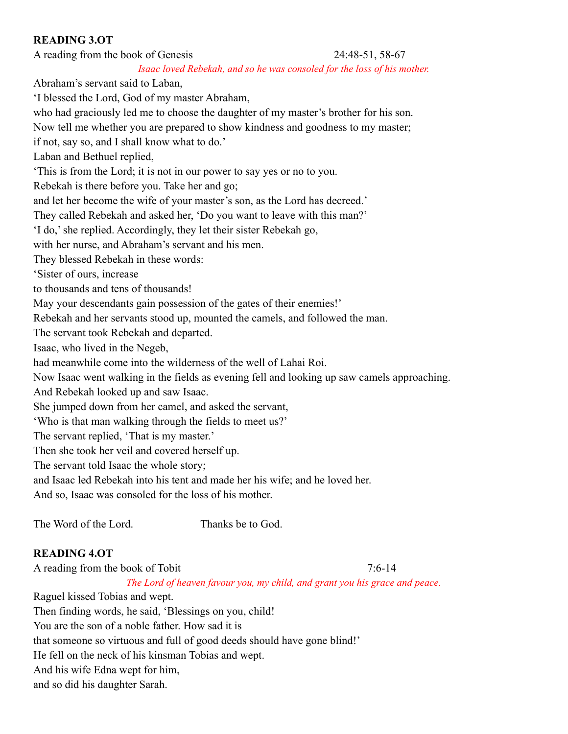# **READING 3.OT**

A reading from the book of Genesis 24:48-51, 58-67 *Isaac loved Rebekah, and so he was consoled for the loss of his mother.* Abraham's servant said to Laban, 'I blessed the Lord, God of my master Abraham, who had graciously led me to choose the daughter of my master's brother for his son. Now tell me whether you are prepared to show kindness and goodness to my master; if not, say so, and I shall know what to do.' Laban and Bethuel replied, 'This is from the Lord; it is not in our power to say yes or no to you. Rebekah is there before you. Take her and go; and let her become the wife of your master's son, as the Lord has decreed.' They called Rebekah and asked her, 'Do you want to leave with this man?' 'I do,' she replied. Accordingly, they let their sister Rebekah go,

with her nurse, and Abraham's servant and his men.

They blessed Rebekah in these words:

'Sister of ours, increase

to thousands and tens of thousands!

May your descendants gain possession of the gates of their enemies!'

Rebekah and her servants stood up, mounted the camels, and followed the man.

The servant took Rebekah and departed.

Isaac, who lived in the Negeb,

had meanwhile come into the wilderness of the well of Lahai Roi.

Now Isaac went walking in the fields as evening fell and looking up saw camels approaching.

And Rebekah looked up and saw Isaac.

She jumped down from her camel, and asked the servant,

'Who is that man walking through the fields to meet us?'

The servant replied, 'That is my master.'

Then she took her veil and covered herself up.

The servant told Isaac the whole story;

and Isaac led Rebekah into his tent and made her his wife; and he loved her.

And so, Isaac was consoled for the loss of his mother.

The Word of the Lord. Thanks be to God.

#### **READING 4.OT**

A reading from the book of Tobit 7:6-14

*The Lord of heaven favour you, my child, and grant you his grace and peace.*

Raguel kissed Tobias and wept.

Then finding words, he said, 'Blessings on you, child!

You are the son of a noble father. How sad it is

that someone so virtuous and full of good deeds should have gone blind!'

He fell on the neck of his kinsman Tobias and wept.

And his wife Edna wept for him,

and so did his daughter Sarah.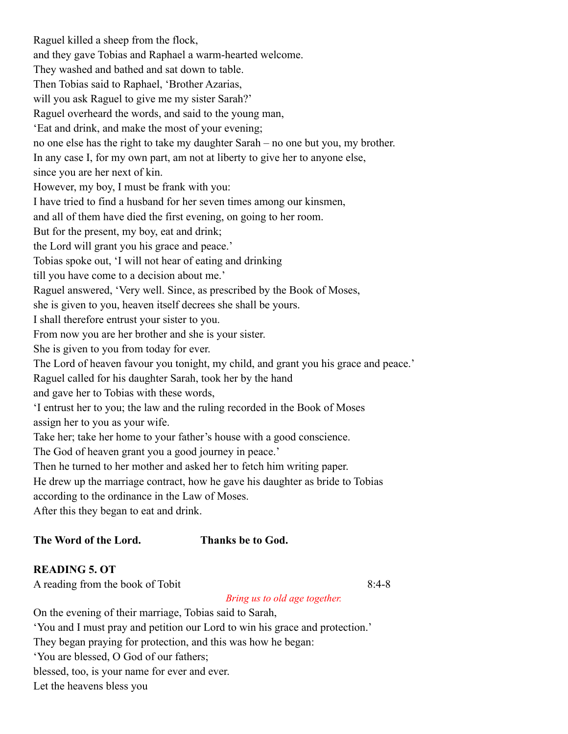Raguel killed a sheep from the flock, and they gave Tobias and Raphael a warm-hearted welcome. They washed and bathed and sat down to table. Then Tobias said to Raphael, 'Brother Azarias, will you ask Raguel to give me my sister Sarah?' Raguel overheard the words, and said to the young man, 'Eat and drink, and make the most of your evening; no one else has the right to take my daughter Sarah – no one but you, my brother. In any case I, for my own part, am not at liberty to give her to anyone else, since you are her next of kin. However, my boy, I must be frank with you: I have tried to find a husband for her seven times among our kinsmen, and all of them have died the first evening, on going to her room. But for the present, my boy, eat and drink; the Lord will grant you his grace and peace.' Tobias spoke out, 'I will not hear of eating and drinking till you have come to a decision about me.' Raguel answered, 'Very well. Since, as prescribed by the Book of Moses, she is given to you, heaven itself decrees she shall be yours. I shall therefore entrust your sister to you. From now you are her brother and she is your sister. She is given to you from today for ever. The Lord of heaven favour you tonight, my child, and grant you his grace and peace.' Raguel called for his daughter Sarah, took her by the hand and gave her to Tobias with these words, 'I entrust her to you; the law and the ruling recorded in the Book of Moses assign her to you as your wife. Take her; take her home to your father's house with a good conscience. The God of heaven grant you a good journey in peace.' Then he turned to her mother and asked her to fetch him writing paper. He drew up the marriage contract, how he gave his daughter as bride to Tobias according to the ordinance in the Law of Moses. After this they began to eat and drink.

#### **The Word of the Lord. Thanks be to God.**

### **READING 5. OT**

A reading from the book of Tobit 8:4-8

*Bring us to old age together.*

On the evening of their marriage, Tobias said to Sarah, 'You and I must pray and petition our Lord to win his grace and protection.' They began praying for protection, and this was how he began: 'You are blessed, O God of our fathers; blessed, too, is your name for ever and ever. Let the heavens bless you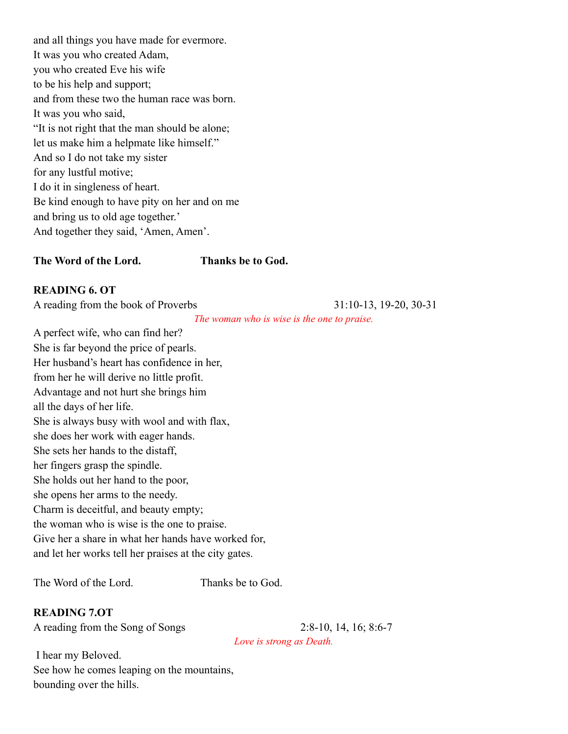and all things you have made for evermore. It was you who created Adam, you who created Eve his wife to be his help and support; and from these two the human race was born. It was you who said, "It is not right that the man should be alone; let us make him a helpmate like himself." And so I do not take my sister for any lustful motive; I do it in singleness of heart. Be kind enough to have pity on her and on me and bring us to old age together.' And together they said, 'Amen, Amen'.

#### **The Word of the Lord. Thanks be to God.**

#### **READING 6. OT**

A reading from the book of Proverbs 31:10-13, 19-20, 30-31

*The woman who is wise is the one to praise.*

A perfect wife, who can find her? She is far beyond the price of pearls. Her husband's heart has confidence in her, from her he will derive no little profit. Advantage and not hurt she brings him all the days of her life. She is always busy with wool and with flax, she does her work with eager hands. She sets her hands to the distaff, her fingers grasp the spindle. She holds out her hand to the poor, she opens her arms to the needy. Charm is deceitful, and beauty empty; the woman who is wise is the one to praise. Give her a share in what her hands have worked for, and let her works tell her praises at the city gates.

The Word of the Lord. Thanks be to God.

# **READING 7.OT**

A reading from the Song of Songs 2:8-10, 14, 16; 8:6-7

*Love is strong as Death.*

I hear my Beloved. See how he comes leaping on the mountains, bounding over the hills.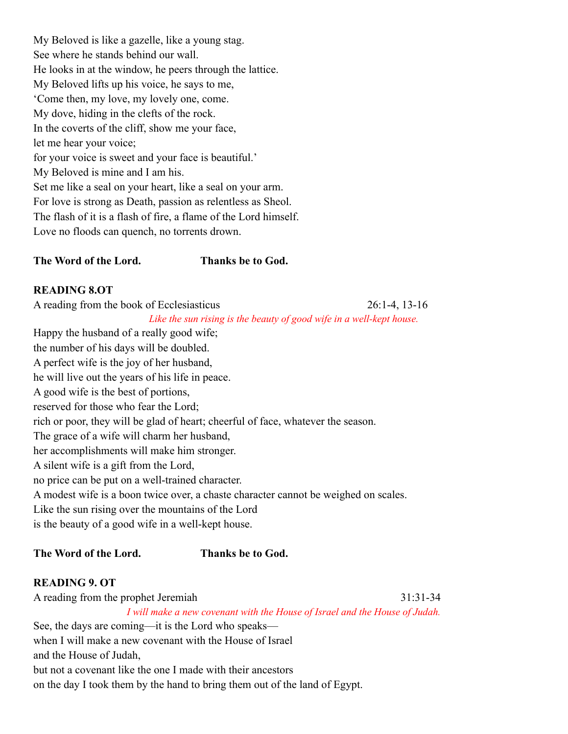My Beloved is like a gazelle, like a young stag. See where he stands behind our wall. He looks in at the window, he peers through the lattice. My Beloved lifts up his voice, he says to me, 'Come then, my love, my lovely one, come. My dove, hiding in the clefts of the rock. In the coverts of the cliff, show me your face, let me hear your voice; for your voice is sweet and your face is beautiful.' My Beloved is mine and I am his. Set me like a seal on your heart, like a seal on your arm. For love is strong as Death, passion as relentless as Sheol. The flash of it is a flash of fire, a flame of the Lord himself. Love no floods can quench, no torrents drown.

### **The Word of the Lord. Thanks be to God.**

### **READING 8.OT**

A reading from the book of Ecclesiasticus 26:1-4, 13-16 *Like the sun rising is the beauty of good wife in a well-kept house.* Happy the husband of a really good wife; the number of his days will be doubled.

A perfect wife is the joy of her husband, he will live out the years of his life in peace.

A good wife is the best of portions,

reserved for those who fear the Lord;

rich or poor, they will be glad of heart; cheerful of face, whatever the season.

The grace of a wife will charm her husband,

her accomplishments will make him stronger.

A silent wife is a gift from the Lord,

no price can be put on a well-trained character.

A modest wife is a boon twice over, a chaste character cannot be weighed on scales.

Like the sun rising over the mountains of the Lord

is the beauty of a good wife in a well-kept house.

# **The Word of the Lord. Thanks be to God.**

# **READING 9. OT**

A reading from the prophet Jeremiah 31:31-34 *I will make a new covenant with the House of Israel and the House of Judah.* See, the days are coming—it is the Lord who speaks—

when I will make a new covenant with the House of Israel and the House of Judah, but not a covenant like the one I made with their ancestors on the day I took them by the hand to bring them out of the land of Egypt.